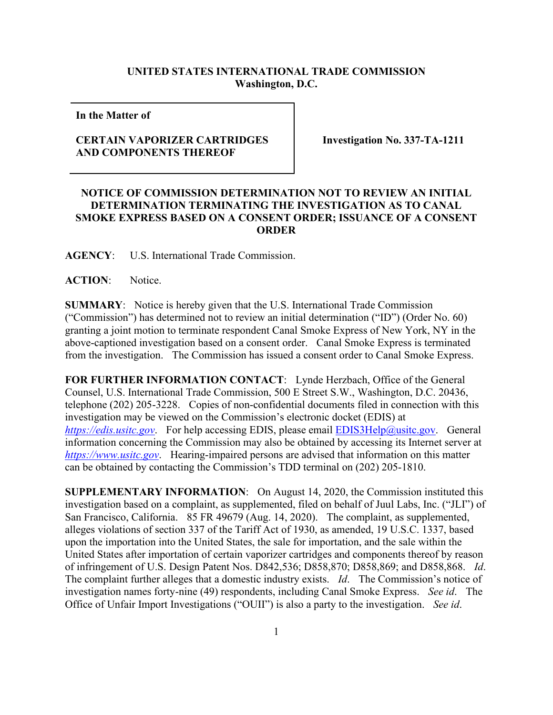## **UNITED STATES INTERNATIONAL TRADE COMMISSION Washington, D.C.**

**In the Matter of** 

## **CERTAIN VAPORIZER CARTRIDGES AND COMPONENTS THEREOF**

**Investigation No. 337-TA-1211**

## **NOTICE OF COMMISSION DETERMINATION NOT TO REVIEW AN INITIAL DETERMINATION TERMINATING THE INVESTIGATION AS TO CANAL SMOKE EXPRESS BASED ON A CONSENT ORDER; ISSUANCE OF A CONSENT ORDER**

**AGENCY**: U.S. International Trade Commission.

**ACTION**: Notice.

**SUMMARY**: Notice is hereby given that the U.S. International Trade Commission ("Commission") has determined not to review an initial determination ("ID") (Order No. 60) granting a joint motion to terminate respondent Canal Smoke Express of New York, NY in the above-captioned investigation based on a consent order. Canal Smoke Express is terminated from the investigation. The Commission has issued a consent order to Canal Smoke Express.

**FOR FURTHER INFORMATION CONTACT**: Lynde Herzbach, Office of the General Counsel, U.S. International Trade Commission, 500 E Street S.W., Washington, D.C. 20436, telephone (202) 205-3228. Copies of non-confidential documents filed in connection with this investigation may be viewed on the Commission's electronic docket (EDIS) at *[https://edis.usitc.gov](https://edis.usitc.gov/).* For help accessing EDIS, please email **EDIS3Help@usitc.gov**. General information concerning the Commission may also be obtained by accessing its Internet server at *[https://www.usitc.gov](https://www.usitc.gov/)*. Hearing-impaired persons are advised that information on this matter can be obtained by contacting the Commission's TDD terminal on (202) 205-1810.

**SUPPLEMENTARY INFORMATION**: On August 14, 2020, the Commission instituted this investigation based on a complaint, as supplemented, filed on behalf of Juul Labs, Inc. ("JLI") of San Francisco, California. 85 FR 49679 (Aug. 14, 2020). The complaint, as supplemented, alleges violations of section 337 of the Tariff Act of 1930, as amended, 19 U.S.C. 1337, based upon the importation into the United States, the sale for importation, and the sale within the United States after importation of certain vaporizer cartridges and components thereof by reason of infringement of U.S. Design Patent Nos. D842,536; D858,870; D858,869; and D858,868. *Id*. The complaint further alleges that a domestic industry exists. *Id*. The Commission's notice of investigation names forty-nine (49) respondents, including Canal Smoke Express. *See id*. The Office of Unfair Import Investigations ("OUII") is also a party to the investigation. *See id*.